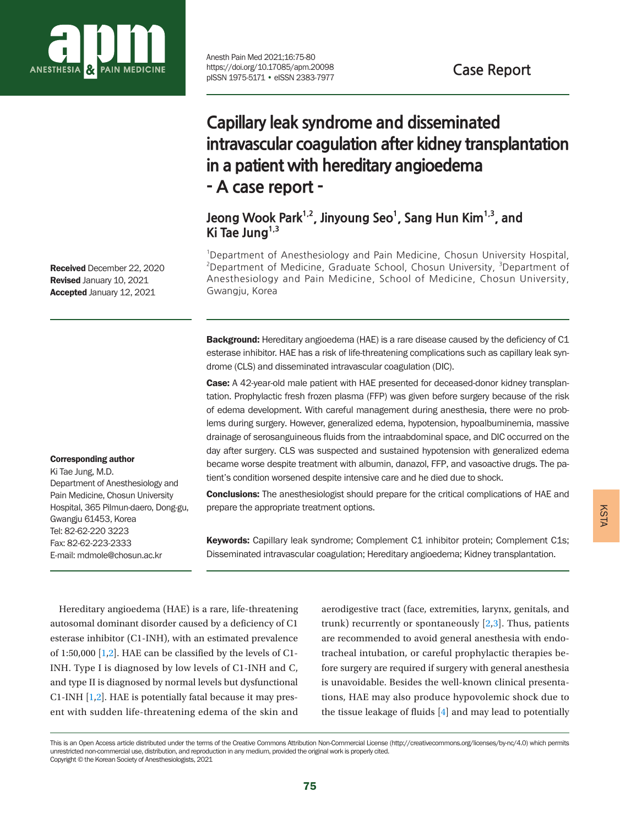

Anesth Pain Med 2021;16:75-80 https://doi.org/10.17085/apm.20098 pISSN 1975-5171 • eISSN 2383-7977

**Case Report**

# **Capillary leak syndrome and disseminated intravascular coagulation after kidney transplantation in a patient with hereditary angioedema - A case report -**

Jeong Wook Park<sup>1,2</sup>, Jinyoung Seo<sup>1</sup>, Sang Hun Kim<sup>1,3</sup>, and **Ki Tae Jung1,3**

<sup>1</sup>Department of Anesthesiology and Pain Medicine, Chosun University Hospital, <sup>2</sup>Department of Medicine, Graduate School, Chosun University, <sup>3</sup>Department of Anesthesiology and Pain Medicine, School of Medicine, Chosun University, Gwangju, Korea

Background: Hereditary angioedema (HAE) is a rare disease caused by the deficiency of C1 esterase inhibitor. HAE has a risk of life-threatening complications such as capillary leak syndrome (CLS) and disseminated intravascular coagulation (DIC).

Case: A 42-year-old male patient with HAE presented for deceased-donor kidney transplantation. Prophylactic fresh frozen plasma (FFP) was given before surgery because of the risk of edema development. With careful management during anesthesia, there were no problems during surgery. However, generalized edema, hypotension, hypoalbuminemia, massive drainage of serosanguineous fluids from the intraabdominal space, and DIC occurred on the day after surgery. CLS was suspected and sustained hypotension with generalized edema became worse despite treatment with albumin, danazol, FFP, and vasoactive drugs. The patient's condition worsened despite intensive care and he died due to shock.

**Conclusions:** The anesthesiologist should prepare for the critical complications of HAE and prepare the appropriate treatment options.

**Keywords:** Capillary leak syndrome; Complement C1 inhibitor protein; Complement C1s; Disseminated intravascular coagulation; Hereditary angioedema; Kidney transplantation.

Received December 22, 2020 Revised January 10, 2021 Accepted January 12, 2021

#### Corresponding author

Ki Tae Jung, M.D. Department of Anesthesiology and Pain Medicine, Chosun University Hospital, 365 Pilmun-daero, Dong-gu, Gwangju 61453, Korea Tel: 82-62-220 3223 Fax: 82-62-223-2333 E-mail: mdmole@chosun.ac.kr

Hereditary angioedema (HAE) is a rare, life-threatening autosomal dominant disorder caused by a deficiency of C1 esterase inhibitor (C1-INH), with an estimated prevalence of 1:50,000  $[1,2]$  $[1,2]$  $[1,2]$ . HAE can be classified by the levels of C1-INH. Type I is diagnosed by low levels of C1-INH and C, and type II is diagnosed by normal levels but dysfunctional C1-INH [\[1](#page-4-0),[2](#page-4-1)]. HAE is potentially fatal because it may present with sudden life-threatening edema of the skin and

aerodigestive tract (face, extremities, larynx, genitals, and trunk) recurrently or spontaneously [\[2](#page-4-1)[,3\]](#page-5-0). Thus, patients are recommended to avoid general anesthesia with endotracheal intubation, or careful prophylactic therapies before surgery are required if surgery with general anesthesia is unavoidable. Besides the well-known clinical presentations, HAE may also produce hypovolemic shock due to the tissue leakage of fluids [\[4](#page-5-1)] and may lead to potentially

This is an Open Access article distributed under the terms of the Creative Commons Attribution Non-Commercial License (http://creativecommons.org/licenses/by-nc/4.0) which permits unrestricted non-commercial use, distribution, and reproduction in any medium, provided the original work is properly cited. Copyright © the Korean Society of Anesthesiologists, 2021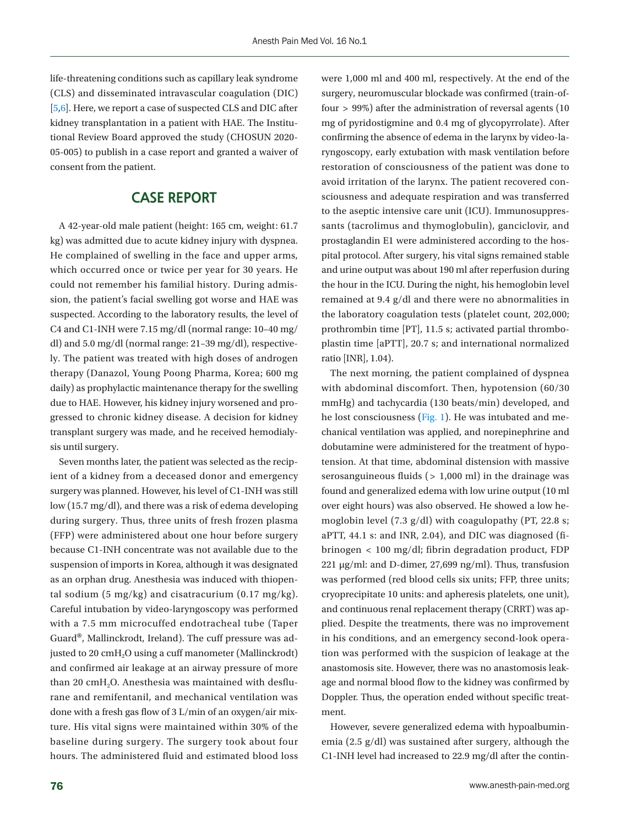life-threatening conditions such as capillary leak syndrome (CLS) and disseminated intravascular coagulation (DIC) [\[5](#page-5-2)[,6](#page-5-3)]. Here, we report a case of suspected CLS and DIC after kidney transplantation in a patient with HAE. The Institutional Review Board approved the study (CHOSUN 2020- 05-005) to publish in a case report and granted a waiver of consent from the patient.

# **CASE REPORT**

A 42-year-old male patient (height: 165 cm, weight: 61.7 kg) was admitted due to acute kidney injury with dyspnea. He complained of swelling in the face and upper arms, which occurred once or twice per year for 30 years. He could not remember his familial history. During admission, the patient's facial swelling got worse and HAE was suspected. According to the laboratory results, the level of C4 and C1-INH were 7.15 mg/dl (normal range: 10–40 mg/ dl) and 5.0 mg/dl (normal range: 21–39 mg/dl), respectively. The patient was treated with high doses of androgen therapy (Danazol, Young Poong Pharma, Korea; 600 mg daily) as prophylactic maintenance therapy for the swelling due to HAE. However, his kidney injury worsened and progressed to chronic kidney disease. A decision for kidney transplant surgery was made, and he received hemodialysis until surgery.

Seven months later, the patient was selected as the recipient of a kidney from a deceased donor and emergency surgery was planned. However, his level of C1-INH was still low (15.7 mg/dl), and there was a risk of edema developing during surgery. Thus, three units of fresh frozen plasma (FFP) were administered about one hour before surgery because C1-INH concentrate was not available due to the suspension of imports in Korea, although it was designated as an orphan drug. Anesthesia was induced with thiopental sodium (5 mg/kg) and cisatracurium  $(0.17 \text{ mg/kg})$ . Careful intubation by video-laryngoscopy was performed with a 7.5 mm microcuffed endotracheal tube (Taper Guard®, Mallinckrodt, Ireland). The cuff pressure was adjusted to 20 cmH<sub>2</sub>O using a cuff manometer (Mallinckrodt) and confirmed air leakage at an airway pressure of more than 20  $\text{cm}H_{2}O$ . Anesthesia was maintained with desflurane and remifentanil, and mechanical ventilation was done with a fresh gas flow of 3 L/min of an oxygen/air mixture. His vital signs were maintained within 30% of the baseline during surgery. The surgery took about four hours. The administered fluid and estimated blood loss

were 1,000 ml and 400 ml, respectively. At the end of the surgery, neuromuscular blockade was confirmed (train-offour > 99%) after the administration of reversal agents (10 mg of pyridostigmine and 0.4 mg of glycopyrrolate). After confirming the absence of edema in the larynx by video-laryngoscopy, early extubation with mask ventilation before restoration of consciousness of the patient was done to avoid irritation of the larynx. The patient recovered consciousness and adequate respiration and was transferred to the aseptic intensive care unit (ICU). Immunosuppressants (tacrolimus and thymoglobulin), ganciclovir, and prostaglandin E1 were administered according to the hospital protocol. After surgery, his vital signs remained stable and urine output was about 190 ml after reperfusion during the hour in the ICU. During the night, his hemoglobin level remained at 9.4 g/dl and there were no abnormalities in the laboratory coagulation tests (platelet count, 202,000; prothrombin time [PT], 11.5 s; activated partial thromboplastin time [aPTT], 20.7 s; and international normalized ratio [INR], 1.04).

The next morning, the patient complained of dyspnea with abdominal discomfort. Then, hypotension (60/30 mmHg) and tachycardia (130 beats/min) developed, and he lost consciousness [\(Fig. 1\)](#page-2-0). He was intubated and mechanical ventilation was applied, and norepinephrine and dobutamine were administered for the treatment of hypotension. At that time, abdominal distension with massive serosanguineous fluids  $($  > 1,000 ml) in the drainage was found and generalized edema with low urine output (10 ml over eight hours) was also observed. He showed a low hemoglobin level (7.3 g/dl) with coagulopathy (PT, 22.8 s; aPTT, 44.1 s: and INR, 2.04), and DIC was diagnosed (fibrinogen < 100 mg/dl; fibrin degradation product, FDP 221 μg/ml: and D-dimer, 27,699 ng/ml). Thus, transfusion was performed (red blood cells six units; FFP, three units; cryoprecipitate 10 units: and apheresis platelets, one unit), and continuous renal replacement therapy (CRRT) was applied. Despite the treatments, there was no improvement in his conditions, and an emergency second-look operation was performed with the suspicion of leakage at the anastomosis site. However, there was no anastomosis leakage and normal blood flow to the kidney was confirmed by Doppler. Thus, the operation ended without specific treatment.

However, severe generalized edema with hypoalbuminemia (2.5 g/dl) was sustained after surgery, although the C1-INH level had increased to 22.9 mg/dl after the contin-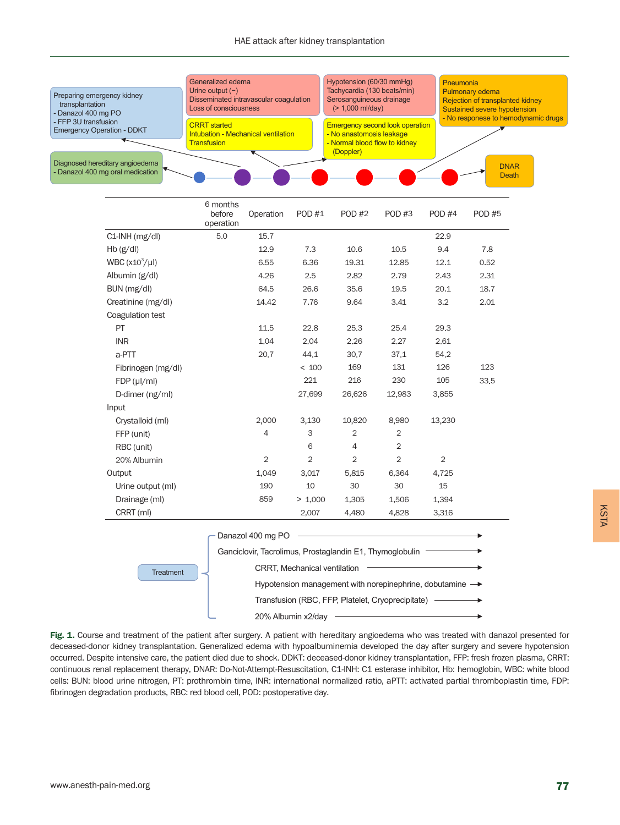<span id="page-2-0"></span>

|                                                                                                                                   | <b>UTIOLIUS</b><br>before<br>operation | Operation      | POD #1         | <b>POD #2</b>  | POD #3         | <b>POD #4</b> | <b>POD #5</b> |
|-----------------------------------------------------------------------------------------------------------------------------------|----------------------------------------|----------------|----------------|----------------|----------------|---------------|---------------|
| C1-INH (mg/dl)                                                                                                                    | 5.0                                    | 15.7           |                |                |                | 22.9          |               |
| Hb(g/dl)                                                                                                                          |                                        | 12.9           | 7.3            | 10,6           | 10,5           | 9.4           | 7,8           |
| WBC $(x10^3/\mu l)$                                                                                                               |                                        | 6,55           | 6,36           | 19,31          | 12,85          | 12,1          | 0.52          |
| Albumin (g/dl)                                                                                                                    |                                        | 4,26           | 2,5            | 2,82           | 2,79           | 2.43          | 2,31          |
| BUN (mg/dl)                                                                                                                       |                                        | 64.5           | 26,6           | 35,6           | 19,5           | 20,1          | 18.7          |
| Creatinine (mg/dl)                                                                                                                |                                        | 14.42          | 7.76           | 9.64           | 3.41           | 3.2           | 2.01          |
| Coagulation test                                                                                                                  |                                        |                |                |                |                |               |               |
| PT                                                                                                                                |                                        | 11.5           | 22.8           | 25.3           | 25.4           | 29.3          |               |
| <b>INR</b>                                                                                                                        |                                        | 1.04           | 2.04           | 2,26           | 2,27           | 2.61          |               |
| a-PTT                                                                                                                             |                                        | 20.7           | 44.1           | 30,7           | 37,1           | 54.2          |               |
| Fibrinogen (mg/dl)                                                                                                                |                                        |                | < 100          | 169            | 131            | 126           | 123           |
| $FDP(\mu I/ml)$                                                                                                                   |                                        |                | 221            | 216            | 230            | 105           | 33.5          |
| D-dimer (ng/ml)                                                                                                                   |                                        |                | 27,699         | 26,626         | 12,983         | 3,855         |               |
| Input                                                                                                                             |                                        |                |                |                |                |               |               |
| Crystalloid (ml)                                                                                                                  |                                        | 2,000          | 3,130          | 10,820         | 8,980          | 13,230        |               |
| FFP (unit)                                                                                                                        |                                        | $\overline{4}$ | 3              | $\overline{2}$ | $\overline{2}$ |               |               |
| RBC (unit)                                                                                                                        |                                        |                | 6              | 4              | $\overline{2}$ |               |               |
| 20% Albumin                                                                                                                       |                                        | $\overline{2}$ | $\overline{2}$ | $\overline{2}$ | $\overline{2}$ | 2             |               |
| Output                                                                                                                            |                                        | 1,049          | 3,017          | 5,815          | 6,364          | 4,725         |               |
| Urine output (ml)                                                                                                                 |                                        | 190            | 10             | 30             | 30             | 15            |               |
| Drainage (ml)                                                                                                                     |                                        | 859            | > 1,000        | 1,305          | 1,506          | 1,394         |               |
| CRRT (ml)                                                                                                                         |                                        |                | 2,007          | 4,480          | 4,828          | 3,316         |               |
| Danazol 400 mg PO<br>Ganciclovir, Tacrolimus, Prostaglandin E1, Thymoglobulin<br><b>CRRT, Mechanical ventilation</b><br>Treatment |                                        |                |                |                |                |               |               |

Hypotension management with norepinephrine, dobutamine  $\rightarrow$ Transfusion (RBC, FFP, Platelet, Cryoprecipitate) 20% Albumin x2/day

Fig. 1. Course and treatment of the patient after surgery. A patient with hereditary angioedema who was treated with danazol presented for deceased-donor kidney transplantation. Generalized edema with hypoalbuminemia developed the day after surgery and severe hypotension occurred. Despite intensive care, the patient died due to shock. DDKT: deceased-donor kidney transplantation, FFP: fresh frozen plasma, CRRT: continuous renal replacement therapy, DNAR: Do-Not-Attempt-Resuscitation, C1-INH: C1 esterase inhibitor, Hb: hemoglobin, WBC: white blood cells: BUN: blood urine nitrogen, PT: prothrombin time, INR: international normalized ratio, aPTT: activated partial thromboplastin time, FDP: fibrinogen degradation products, RBC: red blood cell, POD: postoperative day.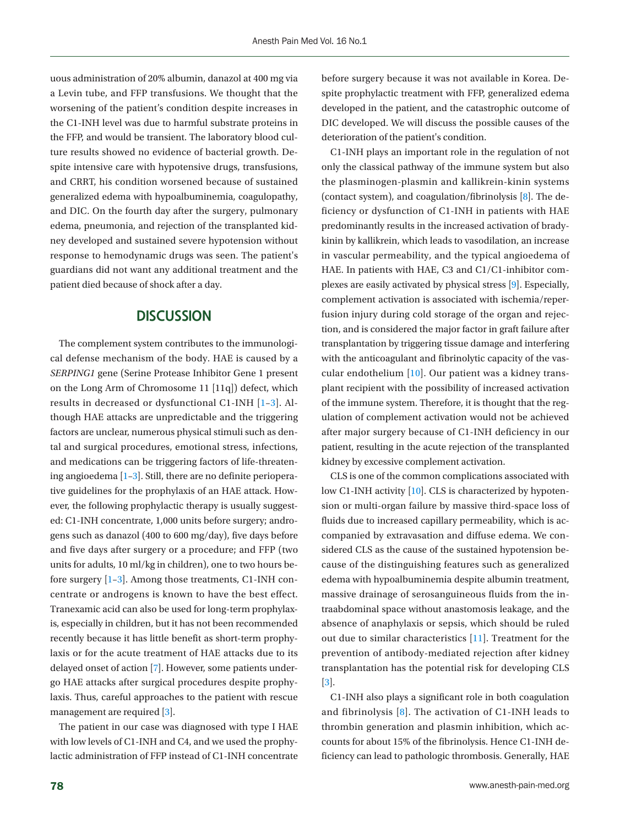uous administration of 20% albumin, danazol at 400 mg via a Levin tube, and FFP transfusions. We thought that the worsening of the patient's condition despite increases in the C1-INH level was due to harmful substrate proteins in the FFP, and would be transient. The laboratory blood culture results showed no evidence of bacterial growth. Despite intensive care with hypotensive drugs, transfusions, and CRRT, his condition worsened because of sustained generalized edema with hypoalbuminemia, coagulopathy, and DIC. On the fourth day after the surgery, pulmonary edema, pneumonia, and rejection of the transplanted kidney developed and sustained severe hypotension without response to hemodynamic drugs was seen. The patient's guardians did not want any additional treatment and the patient died because of shock after a day.

# **DISCUSSION**

The complement system contributes to the immunological defense mechanism of the body. HAE is caused by a *SERPING1* gene (Serine Protease Inhibitor Gene 1 present on the Long Arm of Chromosome 11 [11q]) defect, which results in decreased or dysfunctional C1-INH [1–3]. Although HAE attacks are unpredictable and the triggering factors are unclear, numerous physical stimuli such as dental and surgical procedures, emotional stress, infections, and medications can be triggering factors of life-threatening angioedema [1–3]. Still, there are no definite perioperative guidelines for the prophylaxis of an HAE attack. However, the following prophylactic therapy is usually suggested: C1-INH concentrate, 1,000 units before surgery; androgens such as danazol (400 to 600 mg/day), five days before and five days after surgery or a procedure; and FFP (two units for adults, 10 ml/kg in children), one to two hours before surgery [1–3]. Among those treatments, C1-INH concentrate or androgens is known to have the best effect. Tranexamic acid can also be used for long-term prophylaxis, especially in children, but it has not been recommended recently because it has little benefit as short-term prophylaxis or for the acute treatment of HAE attacks due to its delayed onset of action [\[7\]](#page-5-1). However, some patients undergo HAE attacks after surgical procedures despite prophylaxis. Thus, careful approaches to the patient with rescue management are required [3].

The patient in our case was diagnosed with type I HAE with low levels of C1-INH and C4, and we used the prophylactic administration of FFP instead of C1-INH concentrate

before surgery because it was not available in Korea. Despite prophylactic treatment with FFP, generalized edema developed in the patient, and the catastrophic outcome of DIC developed. We will discuss the possible causes of the deterioration of the patient's condition.

C1-INH plays an important role in the regulation of not only the classical pathway of the immune system but also the plasminogen-plasmin and kallikrein-kinin systems (contact system), and coagulation/fibrinolysis [\[8](#page-5-4)]. The deficiency or dysfunction of C1-INH in patients with HAE predominantly results in the increased activation of bradykinin by kallikrein, which leads to vasodilation, an increase in vascular permeability, and the typical angioedema of HAE. In patients with HAE, C3 and C1/C1-inhibitor complexes are easily activated by physical stress [\[9](#page-5-5)]. Especially, complement activation is associated with ischemia/reperfusion injury during cold storage of the organ and rejection, and is considered the major factor in graft failure after transplantation by triggering tissue damage and interfering with the anticoagulant and fibrinolytic capacity of the vascular endothelium [\[10\]](#page-5-6). Our patient was a kidney transplant recipient with the possibility of increased activation of the immune system. Therefore, it is thought that the regulation of complement activation would not be achieved after major surgery because of C1-INH deficiency in our patient, resulting in the acute rejection of the transplanted kidney by excessive complement activation.

CLS is one of the common complications associated with low C1-INH activity [10]. CLS is characterized by hypotension or multi-organ failure by massive third-space loss of fluids due to increased capillary permeability, which is accompanied by extravasation and diffuse edema. We considered CLS as the cause of the sustained hypotension because of the distinguishing features such as generalized edema with hypoalbuminemia despite albumin treatment, massive drainage of serosanguineous fluids from the intraabdominal space without anastomosis leakage, and the absence of anaphylaxis or sepsis, which should be ruled out due to similar characteristics [\[11](#page-5-7)]. Treatment for the prevention of antibody-mediated rejection after kidney transplantation has the potential risk for developing CLS [3].

C1-INH also plays a significant role in both coagulation and fibrinolysis [8]. The activation of C1-INH leads to thrombin generation and plasmin inhibition, which accounts for about 15% of the fibrinolysis. Hence C1-INH deficiency can lead to pathologic thrombosis. Generally, HAE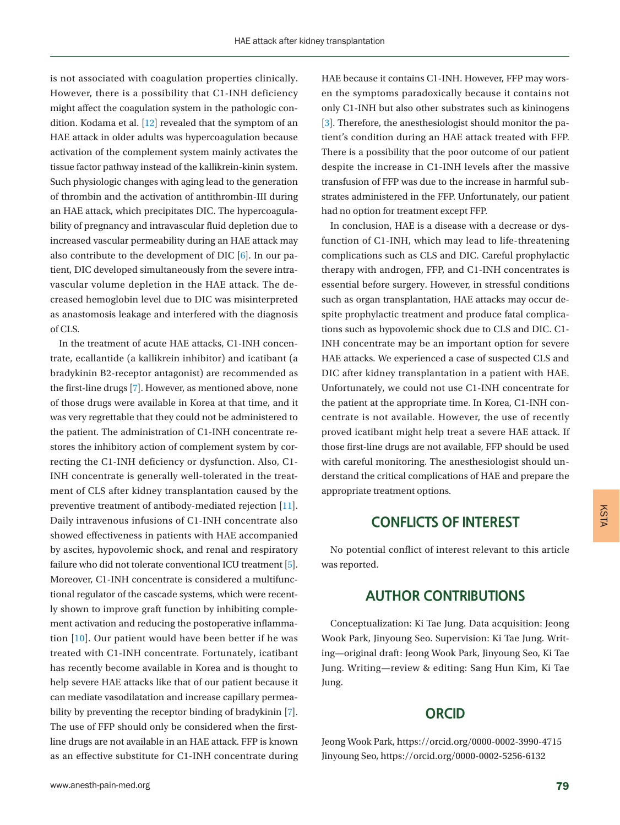is not associated with coagulation properties clinically. However, there is a possibility that C1-INH deficiency might affect the coagulation system in the pathologic condition. Kodama et al. [\[12\]](#page-5-8) revealed that the symptom of an HAE attack in older adults was hypercoagulation because activation of the complement system mainly activates the tissue factor pathway instead of the kallikrein-kinin system. Such physiologic changes with aging lead to the generation of thrombin and the activation of antithrombin-III during an HAE attack, which precipitates DIC. The hypercoagulability of pregnancy and intravascular fluid depletion due to increased vascular permeability during an HAE attack may also contribute to the development of DIC [6]. In our patient, DIC developed simultaneously from the severe intravascular volume depletion in the HAE attack. The decreased hemoglobin level due to DIC was misinterpreted as anastomosis leakage and interfered with the diagnosis of CLS.

In the treatment of acute HAE attacks, C1-INH concentrate, ecallantide (a kallikrein inhibitor) and icatibant (a bradykinin B2-receptor antagonist) are recommended as the first-line drugs [7]. However, as mentioned above, none of those drugs were available in Korea at that time, and it was very regrettable that they could not be administered to the patient. The administration of C1-INH concentrate restores the inhibitory action of complement system by correcting the C1-INH deficiency or dysfunction. Also, C1- INH concentrate is generally well-tolerated in the treatment of CLS after kidney transplantation caused by the preventive treatment of antibody-mediated rejection [\[11\]](#page-5-7). Daily intravenous infusions of C1-INH concentrate also showed effectiveness in patients with HAE accompanied by ascites, hypovolemic shock, and renal and respiratory failure who did not tolerate conventional ICU treatment [5]. Moreover, C1-INH concentrate is considered a multifunctional regulator of the cascade systems, which were recently shown to improve graft function by inhibiting complement activation and reducing the postoperative inflammation [10]. Our patient would have been better if he was treated with C1-INH concentrate. Fortunately, icatibant has recently become available in Korea and is thought to help severe HAE attacks like that of our patient because it can mediate vasodilatation and increase capillary permeability by preventing the receptor binding of bradykinin [7]. The use of FFP should only be considered when the firstline drugs are not available in an HAE attack. FFP is known as an effective substitute for C1-INH concentrate during HAE because it contains C1-INH. However, FFP may worsen the symptoms paradoxically because it contains not only C1-INH but also other substrates such as kininogens [3]. Therefore, the anesthesiologist should monitor the patient's condition during an HAE attack treated with FFP. There is a possibility that the poor outcome of our patient despite the increase in C1-INH levels after the massive transfusion of FFP was due to the increase in harmful substrates administered in the FFP. Unfortunately, our patient had no option for treatment except FFP.

In conclusion, HAE is a disease with a decrease or dysfunction of C1-INH, which may lead to life-threatening complications such as CLS and DIC. Careful prophylactic therapy with androgen, FFP, and C1-INH concentrates is essential before surgery. However, in stressful conditions such as organ transplantation, HAE attacks may occur despite prophylactic treatment and produce fatal complications such as hypovolemic shock due to CLS and DIC. C1- INH concentrate may be an important option for severe HAE attacks. We experienced a case of suspected CLS and DIC after kidney transplantation in a patient with HAE. Unfortunately, we could not use C1-INH concentrate for the patient at the appropriate time. In Korea, C1-INH concentrate is not available. However, the use of recently proved icatibant might help treat a severe HAE attack. If those first-line drugs are not available, FFP should be used with careful monitoring. The anesthesiologist should understand the critical complications of HAE and prepare the appropriate treatment options.

# **CONFLICTS OF INTEREST**

No potential conflict of interest relevant to this article was reported.

### <span id="page-4-0"></span>**AUTHOR CONTRIBUTIONS**

<span id="page-4-1"></span>Conceptualization: Ki Tae Jung. Data acquisition: Jeong Wook Park, Jinyoung Seo. Supervision: Ki Tae Jung. Writing—original draft: Jeong Wook Park, Jinyoung Seo, Ki Tae Jung. Writing—review & editing: Sang Hun Kim, Ki Tae Jung.

### **ORCID**

Jeong Wook Park, https://orcid.org/0000-0002-3990-4715 Jinyoung Seo, https://orcid.org/0000-0002-5256-6132